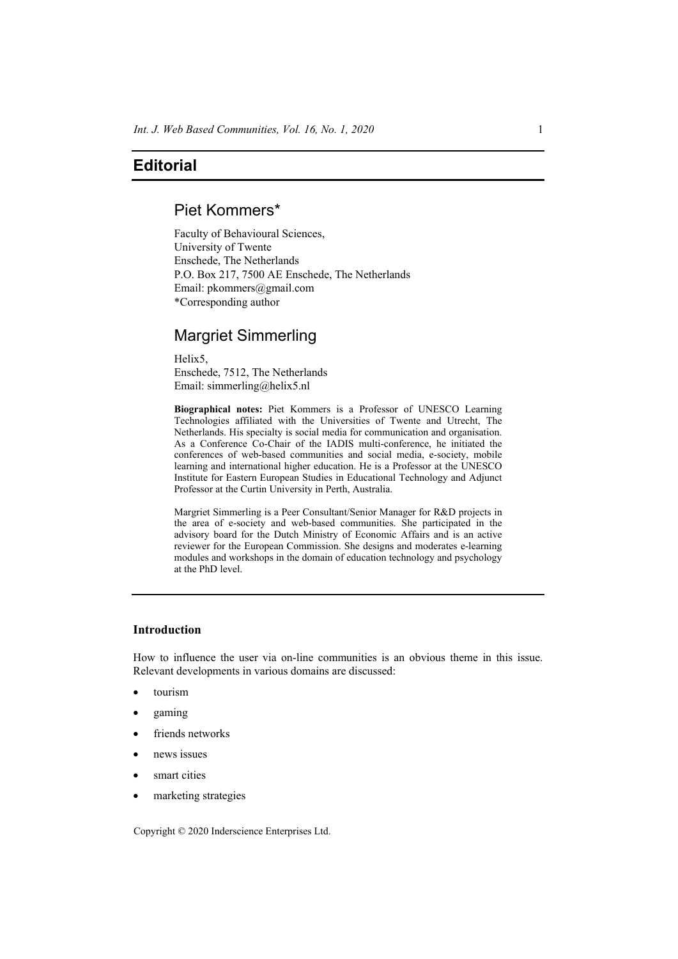### **Editorial**

# Piet Kommers\*

Faculty of Behavioural Sciences, University of Twente Enschede, The Netherlands P.O. Box 217, 7500 AE Enschede, The Netherlands Email: pkommers@gmail.com \*Corresponding author

# Margriet Simmerling

Helix5, Enschede, 7512, The Netherlands Email: simmerling@helix5.nl

**Biographical notes:** Piet Kommers is a Professor of UNESCO Learning Technologies affiliated with the Universities of Twente and Utrecht, The Netherlands. His specialty is social media for communication and organisation. As a Conference Co-Chair of the IADIS multi-conference, he initiated the conferences of web-based communities and social media, e-society, mobile learning and international higher education. He is a Professor at the UNESCO Institute for Eastern European Studies in Educational Technology and Adjunct Professor at the Curtin University in Perth, Australia.

Margriet Simmerling is a Peer Consultant/Senior Manager for R&D projects in the area of e-society and web-based communities. She participated in the advisory board for the Dutch Ministry of Economic Affairs and is an active reviewer for the European Commission. She designs and moderates e-learning modules and workshops in the domain of education technology and psychology at the PhD level.

### **Introduction**

How to influence the user via on-line communities is an obvious theme in this issue. Relevant developments in various domains are discussed:

- tourism
- gaming
- friends networks
- news issues
- smart cities
- marketing strategies

Copyright © 2020 Inderscience Enterprises Ltd.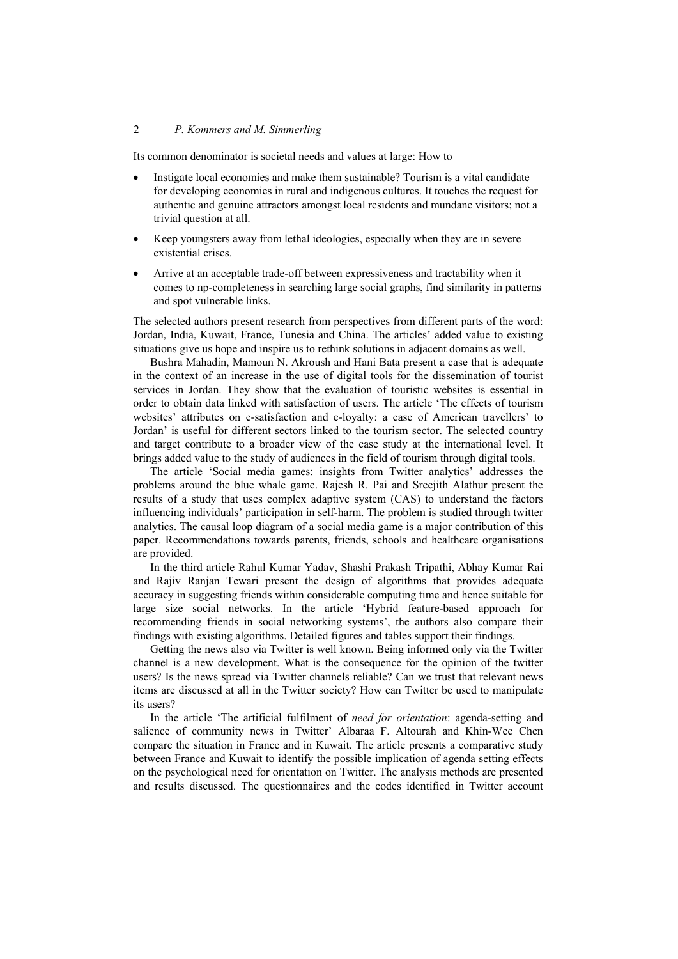#### 2 *P. Kommers and M. Simmerling*

Its common denominator is societal needs and values at large: How to

- Instigate local economies and make them sustainable? Tourism is a vital candidate for developing economies in rural and indigenous cultures. It touches the request for authentic and genuine attractors amongst local residents and mundane visitors; not a trivial question at all.
- Keep youngsters away from lethal ideologies, especially when they are in severe existential crises.
- Arrive at an acceptable trade-off between expressiveness and tractability when it comes to np-completeness in searching large social graphs, find similarity in patterns and spot vulnerable links.

The selected authors present research from perspectives from different parts of the word: Jordan, India, Kuwait, France, Tunesia and China. The articles' added value to existing situations give us hope and inspire us to rethink solutions in adjacent domains as well.

Bushra Mahadin, Mamoun N. Akroush and Hani Bata present a case that is adequate in the context of an increase in the use of digital tools for the dissemination of tourist services in Jordan. They show that the evaluation of touristic websites is essential in order to obtain data linked with satisfaction of users. The article 'The effects of tourism websites' attributes on e-satisfaction and e-loyalty: a case of American travellers' to Jordan' is useful for different sectors linked to the tourism sector. The selected country and target contribute to a broader view of the case study at the international level. It brings added value to the study of audiences in the field of tourism through digital tools.

The article 'Social media games: insights from Twitter analytics' addresses the problems around the blue whale game. Rajesh R. Pai and Sreejith Alathur present the results of a study that uses complex adaptive system (CAS) to understand the factors influencing individuals' participation in self-harm. The problem is studied through twitter analytics. The causal loop diagram of a social media game is a major contribution of this paper. Recommendations towards parents, friends, schools and healthcare organisations are provided.

In the third article Rahul Kumar Yadav, Shashi Prakash Tripathi, Abhay Kumar Rai and Rajiv Ranjan Tewari present the design of algorithms that provides adequate accuracy in suggesting friends within considerable computing time and hence suitable for large size social networks. In the article 'Hybrid feature-based approach for recommending friends in social networking systems', the authors also compare their findings with existing algorithms. Detailed figures and tables support their findings.

Getting the news also via Twitter is well known. Being informed only via the Twitter channel is a new development. What is the consequence for the opinion of the twitter users? Is the news spread via Twitter channels reliable? Can we trust that relevant news items are discussed at all in the Twitter society? How can Twitter be used to manipulate its users?

In the article 'The artificial fulfilment of *need for orientation*: agenda-setting and salience of community news in Twitter' Albaraa F. Altourah and Khin-Wee Chen compare the situation in France and in Kuwait. The article presents a comparative study between France and Kuwait to identify the possible implication of agenda setting effects on the psychological need for orientation on Twitter. The analysis methods are presented and results discussed. The questionnaires and the codes identified in Twitter account